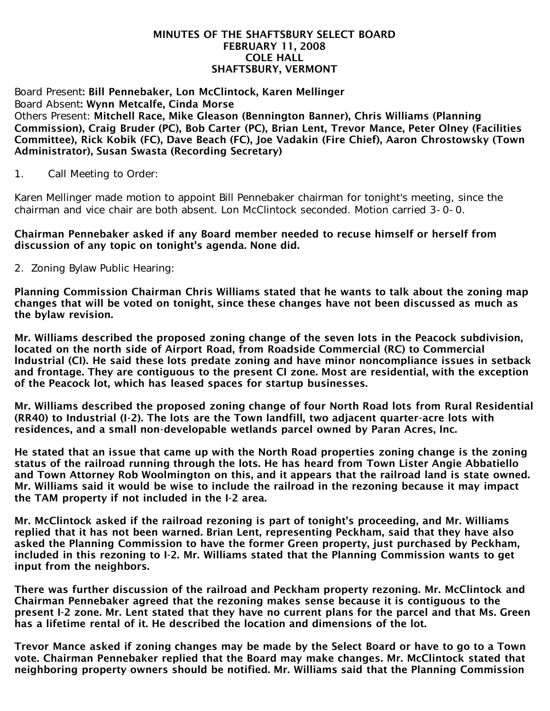#### MINUTES OF THE SHAFTSBURY SELECT BOARD FEBRUARY 11, 2008 COLE HALL SHAFTSBURY, VERMONT

#### Board Present: Bill Pennebaker, Lon McClintock, Karen Mellinger Board Absent: Wynn Metcalfe, Cinda Morse Others Present: Mitchell Race, Mike Gleason (Bennington Banner), Chris Williams (Planning Commission), Craig Bruder (PC), Bob Carter (PC), Brian Lent, Trevor Mance, Peter Olney (Facilities Committee), Rick Kobik (FC), Dave Beach (FC), Joe Vadakin (Fire Chief), Aaron Chrostowsky (Town Administrator), Susan Swasta (Recording Secretary)

1. Call Meeting to Order:

Karen Mellinger made motion to appoint Bill Pennebaker chairman for tonight's meeting, since the chairman and vice chair are both absent. Lon McClintock seconded. Motion carried 3-0-0.

#### Chairman Pennebaker asked if any Board member needed to recuse himself or herself from discussion of any topic on tonight's agenda. None did.

2. Zoning Bylaw Public Hearing:

Planning Commission Chairman Chris Williams stated that he wants to talk about the zoning map changes that will be voted on tonight, since these changes have not been discussed as much as the bylaw revision.

Mr. Williams described the proposed zoning change of the seven lots in the Peacock subdivision, located on the north side of Airport Road, from Roadside Commercial (RC) to Commercial Industrial (CI). He said these lots predate zoning and have minor noncompliance issues in setback and frontage. They are contiguous to the present CI zone. Most are residential, with the exception of the Peacock lot, which has leased spaces for startup businesses.

Mr. Williams described the proposed zoning change of four North Road lots from Rural Residential (RR40) to Industrial (I-2). The lots are the Town landfill, two adjacent quarter-acre lots with residences, and a small non-developable wetlands parcel owned by Paran Acres, Inc.

He stated that an issue that came up with the North Road properties zoning change is the zoning status of the railroad running through the lots. He has heard from Town Lister Angie Abbatiello and Town Attorney Rob Woolmington on this, and it appears that the railroad land is state owned. Mr. Williams said it would be wise to include the railroad in the rezoning because it may impact the TAM property if not included in the I-2 area.

Mr. McClintock asked if the railroad rezoning is part of tonight's proceeding, and Mr. Williams replied that it has not been warned. Brian Lent, representing Peckham, said that they have also asked the Planning Commission to have the former Green property, just purchased by Peckham, included in this rezoning to I-2. Mr. Williams stated that the Planning Commission wants to get input from the neighbors.

There was further discussion of the railroad and Peckham property rezoning. Mr. McClintock and Chairman Pennebaker agreed that the rezoning makes sense because it is contiguous to the present I-2 zone. Mr. Lent stated that they have no current plans for the parcel and that Ms. Green has a lifetime rental of it. He described the location and dimensions of the lot.

Trevor Mance asked if zoning changes may be made by the Select Board or have to go to a Town vote. Chairman Pennebaker replied that the Board may make changes. Mr. McClintock stated that neighboring property owners should be notified. Mr. Williams said that the Planning Commission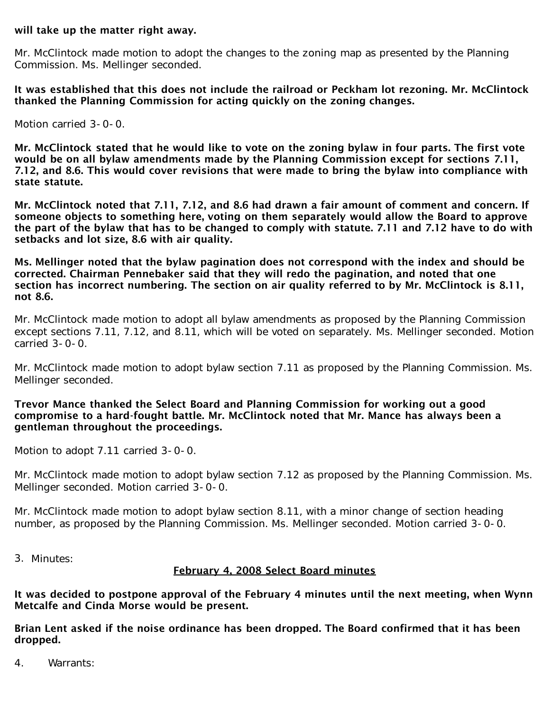## will take up the matter right away.

Mr. McClintock made motion to adopt the changes to the zoning map as presented by the Planning Commission. Ms. Mellinger seconded.

It was established that this does not include the railroad or Peckham lot rezoning. Mr. McClintock thanked the Planning Commission for acting quickly on the zoning changes.

Motion carried 3-0-0.

Mr. McClintock stated that he would like to vote on the zoning bylaw in four parts. The first vote would be on all bylaw amendments made by the Planning Commission except for sections 7.11, 7.12, and 8.6. This would cover revisions that were made to bring the bylaw into compliance with state statute.

Mr. McClintock noted that 7.11, 7.12, and 8.6 had drawn a fair amount of comment and concern. If someone objects to something here, voting on them separately would allow the Board to approve the part of the bylaw that has to be changed to comply with statute. 7.11 and 7.12 have to do with setbacks and lot size, 8.6 with air quality.

Ms. Mellinger noted that the bylaw pagination does not correspond with the index and should be corrected. Chairman Pennebaker said that they will redo the pagination, and noted that one section has incorrect numbering. The section on air quality referred to by Mr. McClintock is 8.11, not 8.6.

Mr. McClintock made motion to adopt all bylaw amendments as proposed by the Planning Commission except sections 7.11, 7.12, and 8.11, which will be voted on separately. Ms. Mellinger seconded. Motion carried 3-0-0.

Mr. McClintock made motion to adopt bylaw section 7.11 as proposed by the Planning Commission. Ms. Mellinger seconded.

# Trevor Mance thanked the Select Board and Planning Commission for working out a good compromise to a hard-fought battle. Mr. McClintock noted that Mr. Mance has always been a gentleman throughout the proceedings.

Motion to adopt 7.11 carried 3-0-0.

Mr. McClintock made motion to adopt bylaw section 7.12 as proposed by the Planning Commission. Ms. Mellinger seconded. Motion carried 3-0-0.

Mr. McClintock made motion to adopt bylaw section 8.11, with a minor change of section heading number, as proposed by the Planning Commission. Ms. Mellinger seconded. Motion carried 3-0-0.

3. Minutes:

# February 4, 2008 Select Board minutes

It was decided to postpone approval of the February 4 minutes until the next meeting, when Wynn Metcalfe and Cinda Morse would be present.

Brian Lent asked if the noise ordinance has been dropped. The Board confirmed that it has been dropped.

4. Warrants: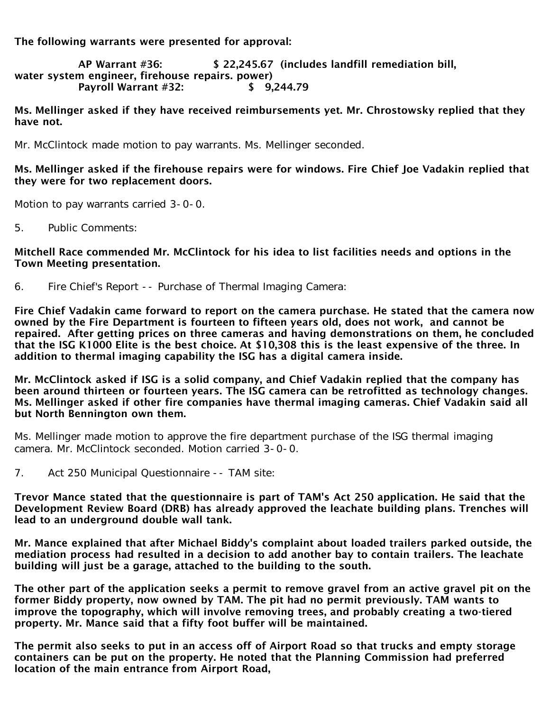The following warrants were presented for approval:

AP Warrant #36: \$ 22,245.67 (includes landfill remediation bill, water system engineer, firehouse repairs. power) Payroll Warrant #32: \$ 9,244.79

Ms. Mellinger asked if they have received reimbursements yet. Mr. Chrostowsky replied that they have not.

Mr. McClintock made motion to pay warrants. Ms. Mellinger seconded.

# Ms. Mellinger asked if the firehouse repairs were for windows. Fire Chief Joe Vadakin replied that they were for two replacement doors.

Motion to pay warrants carried 3-0-0.

5. Public Comments:

Mitchell Race commended Mr. McClintock for his idea to list facilities needs and options in the Town Meeting presentation.

6. Fire Chief's Report -- Purchase of Thermal Imaging Camera:

Fire Chief Vadakin came forward to report on the camera purchase. He stated that the camera now owned by the Fire Department is fourteen to fifteen years old, does not work, and cannot be repaired. After getting prices on three cameras and having demonstrations on them, he concluded that the ISG K1000 Elite is the best choice. At \$10,308 this is the least expensive of the three. In addition to thermal imaging capability the ISG has a digital camera inside.

Mr. McClintock asked if ISG is a solid company, and Chief Vadakin replied that the company has been around thirteen or fourteen years. The ISG camera can be retrofitted as technology changes. Ms. Mellinger asked if other fire companies have thermal imaging cameras. Chief Vadakin said all but North Bennington own them.

Ms. Mellinger made motion to approve the fire department purchase of the ISG thermal imaging camera. Mr. McClintock seconded. Motion carried 3-0-0.

7. Act 250 Municipal Questionnaire -- TAM site:

Trevor Mance stated that the questionnaire is part of TAM's Act 250 application. He said that the Development Review Board (DRB) has already approved the leachate building plans. Trenches will lead to an underground double wall tank.

Mr. Mance explained that after Michael Biddy's complaint about loaded trailers parked outside, the mediation process had resulted in a decision to add another bay to contain trailers. The leachate building will just be a garage, attached to the building to the south.

The other part of the application seeks a permit to remove gravel from an active gravel pit on the former Biddy property, now owned by TAM. The pit had no permit previously. TAM wants to improve the topography, which will involve removing trees, and probably creating a two-tiered property. Mr. Mance said that a fifty foot buffer will be maintained.

The permit also seeks to put in an access off of Airport Road so that trucks and empty storage containers can be put on the property. He noted that the Planning Commission had preferred location of the main entrance from Airport Road,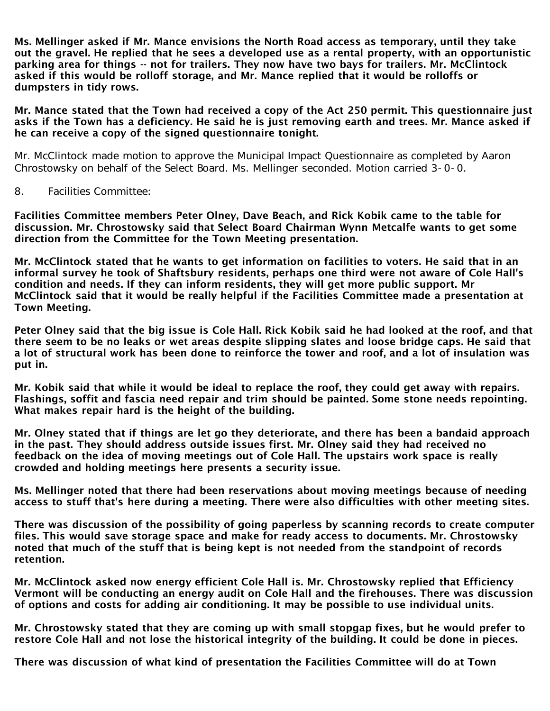Ms. Mellinger asked if Mr. Mance envisions the North Road access as temporary, until they take out the gravel. He replied that he sees a developed use as a rental property, with an opportunistic parking area for things -- not for trailers. They now have two bays for trailers. Mr. McClintock asked if this would be rolloff storage, and Mr. Mance replied that it would be rolloffs or dumpsters in tidy rows.

Mr. Mance stated that the Town had received a copy of the Act 250 permit. This questionnaire just asks if the Town has a deficiency. He said he is just removing earth and trees. Mr. Mance asked if he can receive a copy of the signed questionnaire tonight.

Mr. McClintock made motion to approve the Municipal Impact Questionnaire as completed by Aaron Chrostowsky on behalf of the Select Board. Ms. Mellinger seconded. Motion carried 3-0-0.

8. Facilities Committee:

Facilities Committee members Peter Olney, Dave Beach, and Rick Kobik came to the table for discussion. Mr. Chrostowsky said that Select Board Chairman Wynn Metcalfe wants to get some direction from the Committee for the Town Meeting presentation.

Mr. McClintock stated that he wants to get information on facilities to voters. He said that in an informal survey he took of Shaftsbury residents, perhaps one third were not aware of Cole Hall's condition and needs. If they can inform residents, they will get more public support. Mr McClintock said that it would be really helpful if the Facilities Committee made a presentation at Town Meeting.

Peter Olney said that the big issue is Cole Hall. Rick Kobik said he had looked at the roof, and that there seem to be no leaks or wet areas despite slipping slates and loose bridge caps. He said that a lot of structural work has been done to reinforce the tower and roof, and a lot of insulation was put in.

Mr. Kobik said that while it would be ideal to replace the roof, they could get away with repairs. Flashings, soffit and fascia need repair and trim should be painted. Some stone needs repointing. What makes repair hard is the height of the building.

Mr. Olney stated that if things are let go they deteriorate, and there has been a bandaid approach in the past. They should address outside issues first. Mr. Olney said they had received no feedback on the idea of moving meetings out of Cole Hall. The upstairs work space is really crowded and holding meetings here presents a security issue.

Ms. Mellinger noted that there had been reservations about moving meetings because of needing access to stuff that's here during a meeting. There were also difficulties with other meeting sites.

There was discussion of the possibility of going paperless by scanning records to create computer files. This would save storage space and make for ready access to documents. Mr. Chrostowsky noted that much of the stuff that is being kept is not needed from the standpoint of records retention.

Mr. McClintock asked now energy efficient Cole Hall is. Mr. Chrostowsky replied that Efficiency Vermont will be conducting an energy audit on Cole Hall and the firehouses. There was discussion of options and costs for adding air conditioning. It may be possible to use individual units.

Mr. Chrostowsky stated that they are coming up with small stopgap fixes, but he would prefer to restore Cole Hall and not lose the historical integrity of the building. It could be done in pieces.

There was discussion of what kind of presentation the Facilities Committee will do at Town